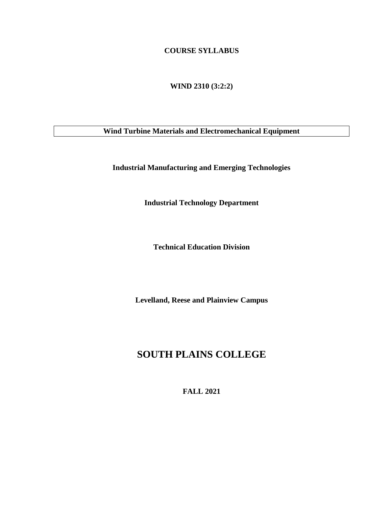## **COURSE SYLLABUS**

**WIND 2310 (3:2:2)**

**Wind Turbine Materials and Electromechanical Equipment**

**Industrial Manufacturing and Emerging Technologies**

**Industrial Technology Department**

**Technical Education Division**

**Levelland, Reese and Plainview Campus**

# **SOUTH PLAINS COLLEGE**

**FALL 2021**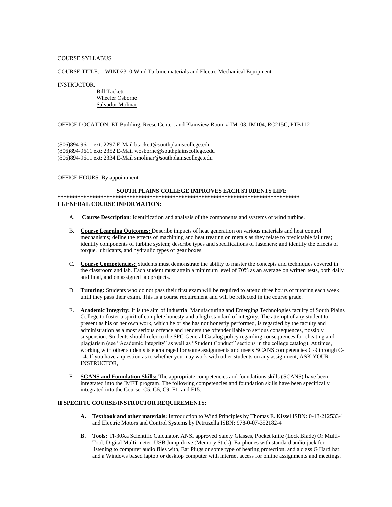### COURSE SYLLABUS

### COURSE TITLE: WIND2310 Wind Turbine materials and Electro Mechanical Equipment

### INSTRUCTOR:

 Bill Tackett Wheeler Osborne Salvador Molinar

OFFICE LOCATION: ET Building, Reese Center, and Plainview Room # IM103, IM104, RC215C, PTB112

(806)894-9611 ext: 2297 E-Mail btackett@southplainscollege.edu (806)894-9611 ext: 2352 E-Mail wosborne@southplainscollege.edu (806)894-9611 ext: 2334 E-Mail smolinar@southplainscollege.edu

OFFICE HOURS: By appointment

### **SOUTH PLAINS COLLEGE IMPROVES EACH STUDENTS LIFE \*\*\*\*\*\*\*\*\*\*\*\*\*\*\*\*\*\*\*\*\*\*\*\*\*\*\*\*\*\*\*\*\*\*\*\*\*\*\*\*\*\*\*\*\*\*\*\*\*\*\*\*\*\*\*\*\*\*\*\*\*\*\*\*\*\*\*\*\*\*\*\*\*\*\*\*\*\*\*\*\*\*\*\* I GENERAL COURSE INFORMATION:**

- A. **Course Description**: Identification and analysis of the components and systems of wind turbine.
- B. **Course Learning Outcomes:** Describe impacts of heat generation on various materials and heat control mechanisms; define the effects of machining and heat treating on metals as they relate to predictable failures; identify components of turbine system; describe types and specifications of fasteners; and identify the effects of torque, lubricants, and hydraulic types of gear boxes.
- C. **Course Competencies:** Students must demonstrate the ability to master the concepts and techniques covered in the classroom and lab. Each student must attain a minimum level of 70% as an average on written tests, both daily and final, and on assigned lab projects.
- D. **Tutoring:** Students who do not pass their first exam will be required to attend three hours of tutoring each week until they pass their exam. This is a course requirement and will be reflected in the course grade.
- E. **Academic Integrity:** It is the aim of Industrial Manufacturing and Emerging Technologies faculty of South Plains College to foster a spirit of complete honesty and a high standard of integrity. The attempt of any student to present as his or her own work, which he or she has not honestly performed, is regarded by the faculty and administration as a most serious offence and renders the offender liable to serious consequences, possibly suspension. Students should refer to the SPC General Catalog policy regarding consequences for cheating and plagiarism (see "Academic Integrity" as well as "Student Conduct" sections in the college catalog). At times, working with other students is encouraged for some assignments and meets SCANS competencies C-9 through C-14. If you have a question as to whether you may work with other students on any assignment, ASK YOUR INSTRUCTOR,
- F. **SCANS and Foundation Skills:** The appropriate competencies and foundations skills (SCANS) have been integrated into the IMET program. The following competencies and foundation skills have been specifically integrated into the Course: C5, C6, C9, F1, and F15.

## **II SPECIFIC COURSE/INSTRUCTOR REQUIREMENTS:**

- **A. Textbook and other materials:** Introduction to Wind Principles by Thomas E. Kissel ISBN: 0-13-212533-1 and Electric Motors and Control Systems by Petruzella ISBN: 978-0-07-352182-4
- **B. Tools:** TI-30Xa Scientific Calculator, ANSI approved Safety Glasses, Pocket knife (Lock Blade) Or Multi-Tool, Digital Multi-meter, USB Jump-drive (Memory Stick), Earphones with standard audio jack for listening to computer audio files with, Ear Plugs or some type of hearing protection, and a class G Hard hat and a Windows based laptop or desktop computer with internet access for online assignments and meetings.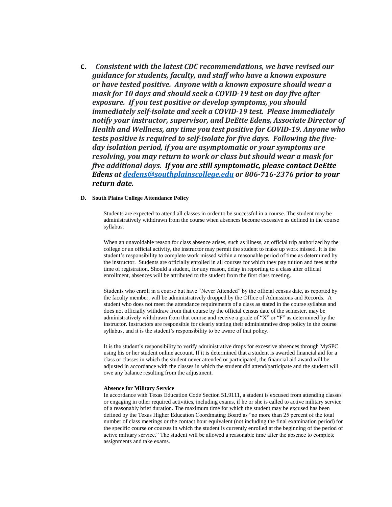**C.** *Consistent with the latest CDC recommendations, we have revised our guidance for students, faculty, and staff who have a known exposure or have tested positive. Anyone with a known exposure should wear a mask for 10 days and should seek a COVID-19 test on day five after exposure. If you test positive or develop symptoms, you should immediately self-isolate and seek a COVID-19 test. Please immediately notify your instructor, supervisor, and DeEtte Edens, Associate Director of Health and Wellness, any time you test positive for COVID-19. Anyone who tests positive is required to self-isolate for five days. Following the fiveday isolation period, if you are asymptomatic or your symptoms are resolving, you may return to work or class but should wear a mask for five additional days. If you are still symptomatic, please contact DeEtte Edens at [dedens@southplainscollege.edu](mailto:dedens@southplainscollege.edu) or 806-716-2376 prior to your return date.*

## **D. South Plains College Attendance Policy**

Students are expected to attend all classes in order to be successful in a course. The student may be administratively withdrawn from the course when absences become excessive as defined in the course syllabus.

When an unavoidable reason for class absence arises, such as illness, an official trip authorized by the college or an official activity, the instructor may permit the student to make up work missed. It is the student's responsibility to complete work missed within a reasonable period of time as determined by the instructor. Students are officially enrolled in all courses for which they pay tuition and fees at the time of registration. Should a student, for any reason, delay in reporting to a class after official enrollment, absences will be attributed to the student from the first class meeting.

Students who enroll in a course but have "Never Attended" by the official census date, as reported by the faculty member, will be administratively dropped by the Office of Admissions and Records. A student who does not meet the attendance requirements of a class as stated in the course syllabus and does not officially withdraw from that course by the official census date of the semester, may be administratively withdrawn from that course and receive a grade of "X" or "F" as determined by the instructor. Instructors are responsible for clearly stating their administrative drop policy in the course syllabus, and it is the student's responsibility to be aware of that policy.

It is the student's responsibility to verify administrative drops for excessive absences through MySPC using his or her student online account. If it is determined that a student is awarded financial aid for a class or classes in which the student never attended or participated, the financial aid award will be adjusted in accordance with the classes in which the student did attend/participate and the student will owe any balance resulting from the adjustment.

#### **Absence for Military Service**

In accordance with Texas Education Code Section 51.9111, a student is excused from attending classes or engaging in other required activities, including exams, if he or she is called to active military service of a reasonably brief duration. The maximum time for which the student may be excused has been defined by the Texas Higher Education Coordinating Board as "no more than 25 percent of the total number of class meetings or the contact hour equivalent (not including the final examination period) for the specific course or courses in which the student is currently enrolled at the beginning of the period of active military service." The student will be allowed a reasonable time after the absence to complete assignments and take exams.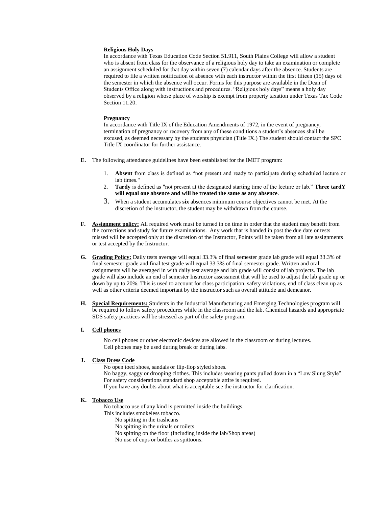### **Religious Holy Days**

In accordance with Texas Education Code Section 51.911, South Plains College will allow a student who is absent from class for the observance of a religious holy day to take an examination or complete an assignment scheduled for that day within seven (7) calendar days after the absence. Students are required to file a written notification of absence with each instructor within the first fifteen (15) days of the semester in which the absence will occur. Forms for this purpose are available in the Dean of Students Office along with instructions and procedures. "Religious holy days" means a holy day observed by a religion whose place of worship is exempt from property taxation under Texas Tax Code Section 11.20.

#### **Pregnancy**

In accordance with Title IX of the Education Amendments of 1972, in the event of pregnancy, termination of pregnancy or recovery from any of these conditions a student's absences shall be excused, as deemed necessary by the students physician (Title IX.) The student should contact the SPC Title IX coordinator for further assistance.

- **E.** The following attendance guidelines have been established for the IMET program:
	- 1. **Absent** from class is defined as "not present and ready to participate during scheduled lecture or lab times."
	- 2. **Tardy** is defined as "not present at the designated starting time of the lecture or lab." **Three tardY will equal one absence and will be treated the same as any absence**.
	- 3. When a student accumulates **six** absences minimum course objectives cannot be met. At the discretion of the instructor, the student may be withdrawn from the course.
- **F. Assignment policy:** All required work must be turned in on time in order that the student may benefit from the corrections and study for future examinations. Any work that is handed in post the due date or tests missed will be accepted only at the discretion of the Instructor, Points will be taken from all late assignments or test accepted by the Instructor.
- **G. Grading Policy:** Daily tests average will equal 33.3% of final semester grade lab grade will equal 33.3% of final semester grade and final test grade will equal 33.3% of final semester grade. Written and oral assignments will be averaged in with daily test average and lab grade will consist of lab projects. The lab grade will also include an end of semester Instructor assessment that will be used to adjust the lab grade up or down by up to 20%. This is used to account for class participation, safety violations, end of class clean up as well as other criteria deemed important by the instructor such as overall attitude and demeanor.
- **H. Special Requirements:** Students in the Industrial Manufacturing and Emerging Technologies program will be required to follow safety procedures while in the classroom and the lab. Chemical hazards and appropriate SDS safety practices will be stressed as part of the safety program.

## **I. Cell phones**

No cell phones or other electronic devices are allowed in the classroom or during lectures. Cell phones may be used during break or during labs.

### **J. Class Dress Code**

No open toed shoes, sandals or flip-flop styled shoes. No baggy, saggy or drooping clothes. This includes wearing pants pulled down in a "Low Slung Style". For safety considerations standard shop acceptable attire is required. If you have any doubts about what is acceptable see the instructor for clarification.

### **K. Tobacco Use**

No tobacco use of any kind is permitted inside the buildings.

- This includes smokeless tobacco.
	- No spitting in the trashcans
	- No spitting in the urinals or toilets
	- No spitting on the floor (Including inside the lab/Shop areas)
	- No use of cups or bottles as spittoons.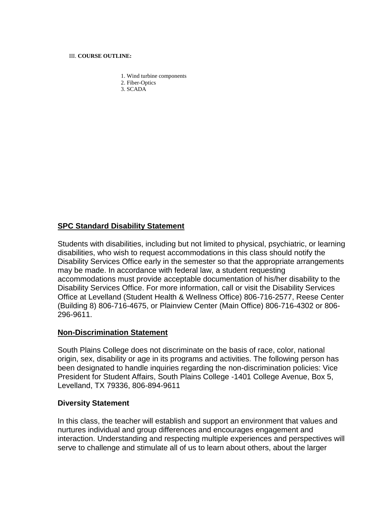## III. **COURSE OUTLINE:**

- 1. Wind turbine components
- 2. Fiber-Optics
- 3. SCADA

## **SPC Standard Disability Statement**

Students with disabilities, including but not limited to physical, psychiatric, or learning disabilities, who wish to request accommodations in this class should notify the Disability Services Office early in the semester so that the appropriate arrangements may be made. In accordance with federal law, a student requesting accommodations must provide acceptable documentation of his/her disability to the Disability Services Office. For more information, call or visit the Disability Services Office at Levelland (Student Health & Wellness Office) 806-716-2577, Reese Center (Building 8) 806-716-4675, or Plainview Center (Main Office) 806-716-4302 or 806- 296-9611.

## **Non-Discrimination Statement**

South Plains College does not discriminate on the basis of race, color, national origin, sex, disability or age in its programs and activities. The following person has been designated to handle inquiries regarding the non-discrimination policies: Vice President for Student Affairs, South Plains College -1401 College Avenue, Box 5, Levelland, TX 79336, 806-894-9611

## **Diversity Statement**

In this class, the teacher will establish and support an environment that values and nurtures individual and group differences and encourages engagement and interaction. Understanding and respecting multiple experiences and perspectives will serve to challenge and stimulate all of us to learn about others, about the larger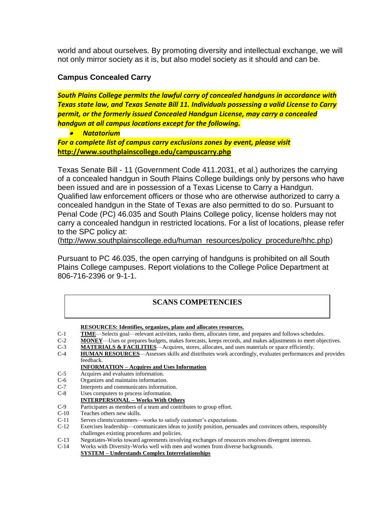world and about ourselves. By promoting diversity and intellectual exchange, we will not only mirror society as it is, but also model society as it should and can be.

## **Campus Concealed Carry**

*South Plains College permits the lawful carry of concealed handguns in accordance with Texas state law, and Texas Senate Bill 11. Individuals possessing a valid License to Carry permit, or the formerly issued Concealed Handgun License, may carry a concealed handgun at all campus locations except for the following.*

• *Natatorium*

*For a complete list of campus carry exclusions zones by event, please visit* **<http://www.southplainscollege.edu/campuscarry.php>**

Texas Senate Bill - 11 (Government Code 411.2031, et al.) authorizes the carrying of a concealed handgun in South Plains College buildings only by persons who have been issued and are in possession of a Texas License to Carry a Handgun. Qualified law enforcement officers or those who are otherwise authorized to carry a concealed handgun in the State of Texas are also permitted to do so. Pursuant to Penal Code (PC) 46.035 and South Plains College policy, license holders may not carry a concealed handgun in restricted locations. For a list of locations, please refer to the SPC policy at:

[\(http://www.southplainscollege.edu/human\\_resources/policy\\_procedure/hhc.php\)](http://www.southplainscollege.edu/human_resources/policy_procedure/hhc.php)

Pursuant to PC 46.035, the open carrying of handguns is prohibited on all South Plains College campuses. Report violations to the College Police Department at 806-716-2396 or 9-1-1.

## **SCANS COMPETENCIES**

**RESOURCES: Identifies, organizes, plans and allocates resources.**

- C-1 **TIME**—Selects goal—relevant activities, ranks them, allocates time, and prepares and follows schedules.
- C-2 **MONEY**—Uses or prepares budgets, makes forecasts, keeps records, and makes adjustments to meet objectives.
- C-3 **MATERIALS & FACILITIES**—Acquires, stores, allocates, and uses materials or space efficiently.
- C-4 **HUMAN RESOURCES**—Assesses skills and distributes work accordingly, evaluates performances and provides feedback.

## **INFORMATION – Acquires and Uses Information**

- C-5 Acquires and evaluates information.
- C-6 Organizes and maintains information.
- C-7 Interprets and communicates information.
- C-8 Uses computers to process information.
- **INTERPERSONAL – Works With Others**
- C-9 Participates as members of a team and contributes to group effort.
- C-10 Teaches others new skills.
- C-11 Serves clients/customers—works to satisfy customer's expectations.
- C-12 Exercises leadership—communicates ideas to justify position, persuades and convinces others, responsibly challenges existing procedures and policies.
- C-13 Negotiates-Works toward agreements involving exchanges of resources resolves divergent interests.
- C-14 Works with Diversity-Works well with men and women from diverse backgrounds.

**SYSTEM – Understands Complex Interrelationships**